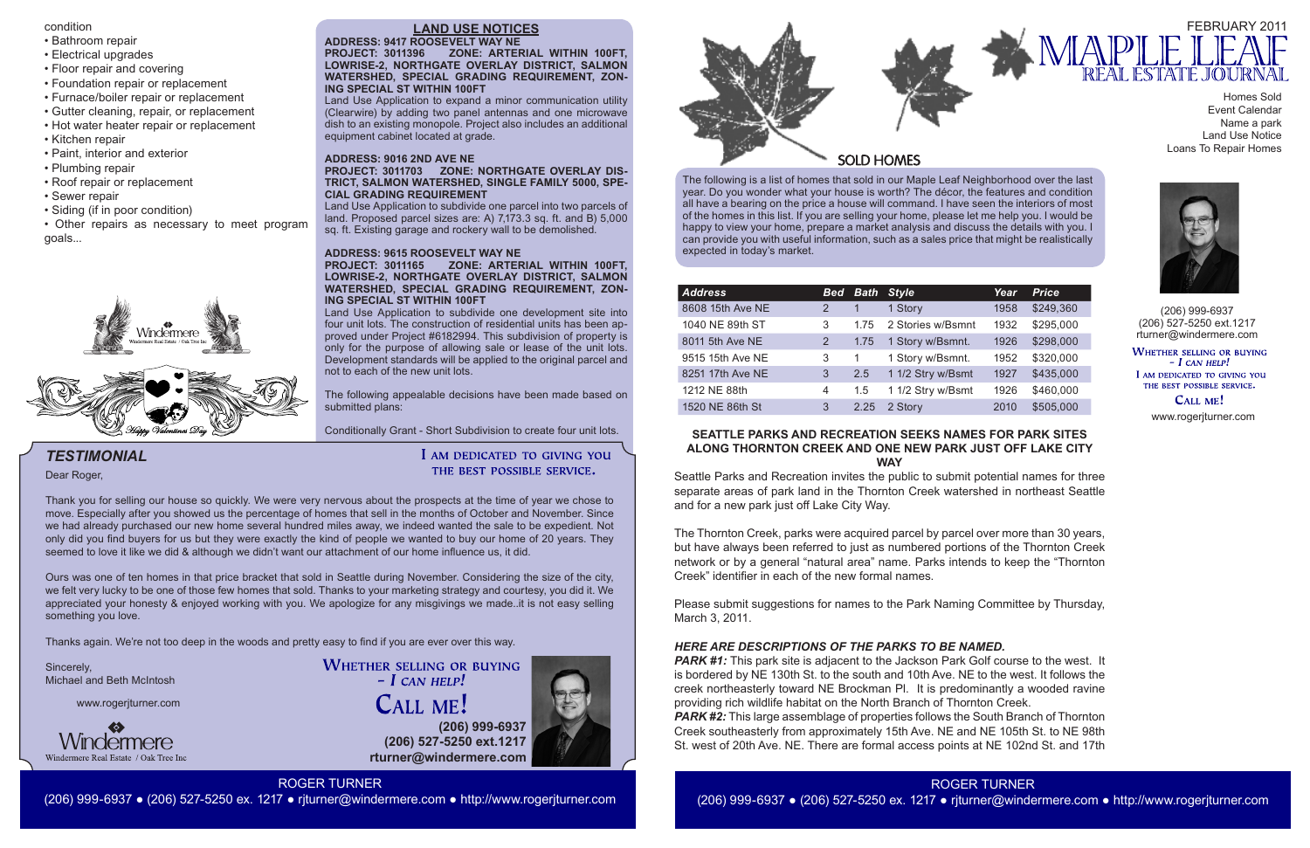The following is a list of homes that sold in our Maple Leaf Neighborhood over the last year. Do you wonder what your house is worth? The décor, the features and condition all have a bearing on the price a house will command. I have seen the interiors of most of the homes in this list. If you are selling your home, please let me help you. I would be happy to view your home, prepare a market analysis and discuss the details with you. I can provide you with useful information, such as a sales price that might be realistically expected in today's market.



**(206) 999-6937 (206) 527-5250 ext.1217 rturner@windermere.com**





(206) 999-6937 (206) 527-5250 ext.1217 rturner@windermere.com

WHETHER SELLING OR BUYING  $-I$  CAN HELP! I AM DEDICATED TO GIVING YOU THE BEST POSSIBLE SERVICE.

CALL ME!

# *TESTIMONIAL*

www.rogerjturner.com

www.rogerjturner.com



**WHETHER SELLING OR BUYING**  $-$  *L* CAN HELP! **CALL ME!** 

ROGER TURNER (206) 999-6937 ● (206) 527-5250 ex. 1217 ● rjturner@windermere.com ● http://www.rogerjturner.com



Homes Sold Event Calendar Name a park Land Use Notice Loans To Repair Homes

Dear Roger,

Thank you for selling our house so quickly. We were very nervous about the prospects at the time of year we chose to move. Especially after you showed us the percentage of homes that sell in the months of October and November. Since we had already purchased our new home several hundred miles away, we indeed wanted the sale to be expedient. Not only did you find buyers for us but they were exactly the kind of people we wanted to buy our home of 20 years. They seemed to love it like we did & although we didn't want our attachment of our home influence us, it did.

Ours was one of ten homes in that price bracket that sold in Seattle during November. Considering the size of the city, we felt very lucky to be one of those few homes that sold. Thanks to your marketing strategy and courtesy, you did it. We appreciated your honesty & enjoyed working with you. We apologize for any misgivings we made..it is not easy selling something you love.

The following appealable decisions have been made based on submitted plans:

# I AM DEDICATED TO GIVING YOU THE BEST POSSIBLE SERVICE.

Thanks again. We're not too deep in the woods and pretty easy to find if you are ever over this way.

Sincerely, Michael and Beth McIntosh

| <b>Address</b>   | <b>Bed</b> |      | <b>Bath Style</b> | Year | <b>Price</b> |
|------------------|------------|------|-------------------|------|--------------|
| 8608 15th Ave NE | 2          |      | 1 Story           | 1958 | \$249,360    |
| 1040 NE 89th ST  | 3          | 1.75 | 2 Stories w/Bsmnt | 1932 | \$295,000    |
| 8011 5th Ave NE  | 2          | 1.75 | 1 Story w/Bsmnt.  | 1926 | \$298,000    |
| 9515 15th Ave NE | 3          | 1    | 1 Story w/Bsmnt.  | 1952 | \$320,000    |
| 8251 17th Ave NE | 3          | 2.5  | 1 1/2 Stry w/Bsmt | 1927 | \$435,000    |
| 1212 NE 88th     | 4          | 1.5  | 1 1/2 Stry w/Bsmt | 1926 | \$460,000    |
| 1520 NE 86th St  | 3          | 2.25 | 2 Story           | 2010 | \$505,000    |

# **LAND USE NOTICES**

#### **ADDRESS: 9417 ROOSEVELT WAY NE PROJECT: 3011396 ZONE: ARTERIAL WITHIN 100FT, LOWRISE-2, NORTHGATE OVERLAY DISTRICT, SALMON WATERSHED, SPECIAL GRADING REQUIREMENT, ZON-ING SPECIAL ST WITHIN 100FT**

**PARK #1:** This park site is adjacent to the Jackson Park Golf course to the west. It is bordered by NE 130th St. to the south and 10th Ave. NE to the west. It follows the creek northeasterly toward NE Brockman Pl. It is predominantly a wooded ravine providing rich wildlife habitat on the North Branch of Thornton Creek. *PARK #2:* This large assemblage of properties follows the South Branch of Thornton Creek southeasterly from approximately 15th Ave. NE and NE 105th St. to NE 98th St. west of 20th Ave. NE. There are formal access points at NE 102nd St. and 17th

Land Use Application to expand a minor communication utility (Clearwire) by adding two panel antennas and one microwave dish to an existing monopole. Project also includes an additional equipment cabinet located at grade.

#### **ADDRESS: 9016 2ND AVE NE**

#### **PROJECT: 3011703 ZONE: NORTHGATE OVERLAY DIS-TRICT, SALMON WATERSHED, SINGLE FAMILY 5000, SPE-CIAL GRADING REQUIREMENT**

Land Use Application to subdivide one parcel into two parcels of land. Proposed parcel sizes are: A) 7,173.3 sq. ft. and B) 5,000 sq. ft. Existing garage and rockery wall to be demolished.

### **ADDRESS: 9615 ROOSEVELT WAY NE**

#### **PROJECT: 3011165 ZONE: ARTERIAL WITHIN 100FT, LOWRISE-2, NORTHGATE OVERLAY DISTRICT, SALMON WATERSHED, SPECIAL GRADING REQUIREMENT, ZON-ING SPECIAL ST WITHIN 100FT**

Land Use Application to subdivide one development site into four unit lots. The construction of residential units has been approved under Project #6182994. This subdivision of property is only for the purpose of allowing sale or lease of the unit lots. Development standards will be applied to the original parcel and not to each of the new unit lots.

# Conditionally Grant - Short Subdivision to create four unit lots. **SEATTLE PARKS AND RECREATION SEEKS NAMES FOR PARK SITES ALONG THORNTON CREEK AND ONE NEW PARK JUST OFF LAKE CITY WAY**

Seattle Parks and Recreation invites the public to submit potential names for three separate areas of park land in the Thornton Creek watershed in northeast Seattle and for a new park just off Lake City Way.

The Thornton Creek, parks were acquired parcel by parcel over more than 30 years, but have always been referred to just as numbered portions of the Thornton Creek network or by a general "natural area" name. Parks intends to keep the "Thornton Creek" identifier in each of the new formal names.

Please submit suggestions for names to the Park Naming Committee by Thursday, March 3, 2011.

# *HERE ARE DESCRIPTIONS OF THE PARKS TO BE NAMED.*

condition

- Bathroom repair
- Electrical upgrades
- Floor repair and covering
- Foundation repair or replacement
- Furnace/boiler repair or replacement
- Gutter cleaning, repair, or replacement
- Hot water heater repair or replacement
- Kitchen repair
- Paint, interior and exterior
- Plumbing repair
- Roof repair or replacement
- Sewer repair
- Siding (if in poor condition)
- Other repairs as necessary to meet program goals...